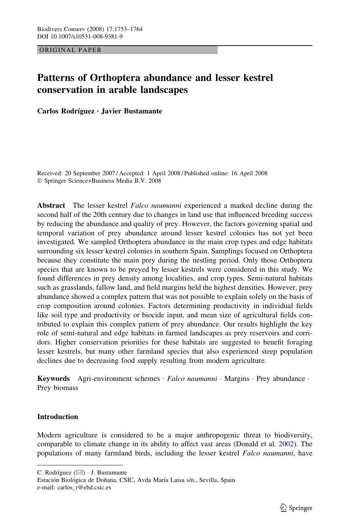ORIGINAL PAPER

# Patterns of Orthoptera abundance and lesser kestrel conservation in arable landscapes

Carlos Rodríguez · Javier Bustamante

Received: 20 September 2007 / Accepted: 1 April 2008 / Published online: 16 April 2008 Springer Science+Business Media B.V. 2008

Abstract The lesser kestrel *Falco naumanni* experienced a marked decline during the second half of the 20th century due to changes in land use that influenced breeding success by reducing the abundance and quality of prey. However, the factors governing spatial and temporal variation of prey abundance around lesser kestrel colonies has not yet been investigated. We sampled Orthoptera abundance in the main crop types and edge habitats surrounding six lesser kestrel colonies in southern Spain. Samplings focused on Orthoptera because they constitute the main prey during the nestling period. Only those Orthoptera species that are known to be preyed by lesser kestrels were considered in this study. We found differences in prey density among localities, and crop types. Semi-natural habitats such as grasslands, fallow land, and field margins held the highest densities. However, prey abundance showed a complex pattern that was not possible to explain solely on the basis of crop composition around colonies. Factors determining productivity in individual fields like soil type and productivity or biocide input, and mean size of agricultural fields contributed to explain this complex pattern of prey abundance. Our results highlight the key role of semi-natural and edge habitats in farmed landscapes as prey reservoirs and corridors. Higher conservation priorities for these habitats are suggested to benefit foraging lesser kestrels, but many other farmland species that also experienced steep population declines due to decreasing food supply resulting from modern agriculture.

**Keywords** Agri-environment schemes  $\cdot$  *Falco naumanni*  $\cdot$  Margins  $\cdot$  Prey abundance  $\cdot$ Prey biomass

# Introduction

Modern agriculture is considered to be a major anthropogenic threat to biodiversity, comparable to climate change in its ability to affect vast areas (Donald et al. [2002](#page-10-0)). The populations of many farmland birds, including the lesser kestrel Falco naumanni, have

C. Rodríguez ( $\boxtimes$ ) · J. Bustamante

Estación Biológica de Doñana, CSIC, Avda María Luisa s/n., Sevilla, Spain e-mail: carlos\_r@ebd.csic.es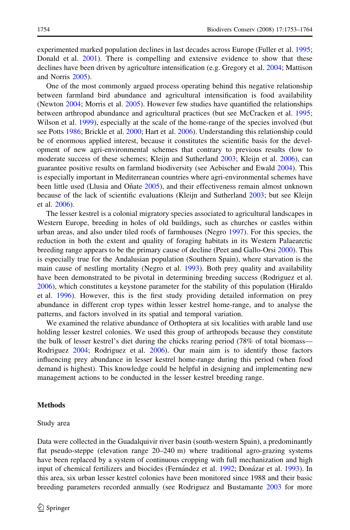experimented marked population declines in last decades across Europe (Fuller et al. [1995;](#page-10-0) Donald et al. [2001\)](#page-10-0). There is compelling and extensive evidence to show that these declines have been driven by agriculture intensification (e.g. Gregory et al. [2004;](#page-10-0) Mattison and Norris [2005\)](#page-11-0).

One of the most commonly argued process operating behind this negative relationship between farmland bird abundance and agricultural intensification is food availability (Newton [2004;](#page-11-0) Morris et al. [2005](#page-11-0)). However few studies have quantified the relationships between arthropod abundance and agricultural practices (but see McCracken et al. [1995;](#page-11-0) Wilson et al. [1999\)](#page-11-0), especially at the scale of the home-range of the species involved (but see Potts [1986](#page-11-0); Brickle et al. [2000](#page-10-0); Hart et al. [2006](#page-10-0)). Understanding this relationship could be of enormous applied interest, because it constitutes the scientific basis for the development of new agri-environmental schemes that contrary to previous results (low to moderate success of these schemes; Kleijn and Sutherland [2003](#page-10-0); Kleijn et al. [2006\)](#page-10-0), can guarantee positive results on farmland biodiversity (see Aebischer and Ewald [2004](#page-9-0)). This is especially important in Mediterranean countries where agri-environmental schemes have been little used (Llusia and Oñate [2005\)](#page-11-0), and their effectiveness remain almost unknown because of the lack of scientific evaluations (Kleijn and Sutherland [2003;](#page-10-0) but see Kleijn et al. [2006](#page-10-0)).

The lesser kestrel is a colonial migratory species associated to agricultural landscapes in Western Europe, breeding in holes of old buildings, such as churches or castles within urban areas, and also under tiled roofs of farmhouses (Negro [1997](#page-11-0)). For this species, the reduction in both the extent and quality of foraging habitats in its Western Palaearctic breeding range appears to be the primary cause of decline (Peet and Gallo-Orsi [2000\)](#page-11-0). This is especially true for the Andalusian population (Southern Spain), where starvation is the main cause of nestling mortality (Negro et al. [1993](#page-11-0)). Both prey quality and availability have been demonstrated to be pivotal in determining breeding success (Rodriguez et al. [2006\)](#page-11-0), which constitutes a keystone parameter for the stability of this population (Hiraldo et al. [1996\)](#page-10-0). However, this is the first study providing detailed information on prey abundance in different crop types within lesser kestrel home-range, and to analyse the patterns, and factors involved in its spatial and temporal variation.

We examined the relative abundance of Orthoptera at six localities with arable land use holding lesser kestrel colonies. We used this group of arthropods because they constitute the bulk of lesser kestrel's diet during the chicks rearing period (78% of total biomass— Rodriguez [2004;](#page-11-0) Rodriguez et al. [2006](#page-11-0)). Our main aim is to identify those factors influencing prey abundance in lesser kestrel home-range during this period (when food demand is highest). This knowledge could be helpful in designing and implementing new management actions to be conducted in the lesser kestrel breeding range.

## **Methods**

#### Study area

Data were collected in the Guadalquivir river basin (south-western Spain), a predominantly flat pseudo-steppe (elevation range 20–240 m) where traditional agro-grazing systems have been replaced by a system of continuous cropping with full mechanization and high input of chemical fertilizers and biocides (Fernández et al. [1992;](#page-10-0) Donázar et al. [1993](#page-10-0)). In this area, six urban lesser kestrel colonies have been monitored since 1988 and their basic breeding parameters recorded annually (see Rodriguez and Bustamante [2003](#page-11-0) for more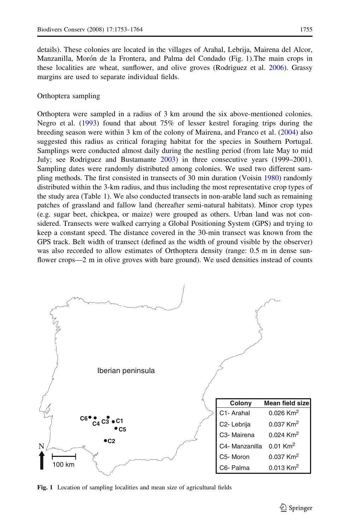<span id="page-2-0"></span>details). These colonies are located in the villages of Arahal, Lebrija, Mairena del Alcor, Manzanilla, Morón de la Frontera, and Palma del Condado (Fig. 1). The main crops in these localities are wheat, sunflower, and olive groves (Rodriguez et al. [2006\)](#page-11-0). Grassy margins are used to separate individual fields.

### Orthoptera sampling

Orthoptera were sampled in a radius of 3 km around the six above-mentioned colonies. Negro et al. ([1993](#page-11-0)) found that about 75% of lesser kestrel foraging trips during the breeding season were within 3 km of the colony of Mairena, and Franco et al. ([2004](#page-10-0)) also suggested this radius as critical foraging habitat for the species in Southern Portugal. Samplings were conducted almost daily during the nestling period (from late May to mid July; see Rodriguez and Bustamante [2003\)](#page-11-0) in three consecutive years (1999–2001). Sampling dates were randomly distributed among colonies. We used two different sampling methods. The first consisted in transects of 30 min duration (Voisin [1980](#page-11-0)) randomly distributed within the 3-km radius, and thus including the most representative crop types of the study area (Table [1\)](#page-3-0). We also conducted transects in non-arable land such as remaining patches of grassland and fallow land (hereafter semi-natural habitats). Minor crop types (e.g. sugar beet, chickpea, or maize) were grouped as others. Urban land was not considered. Transects were walked carrying a Global Positioning System (GPS) and trying to keep a constant speed. The distance covered in the 30-min transect was known from the GPS track. Belt width of transect (defined as the width of ground visible by the observer) was also recorded to allow estimates of Orthoptera density (range: 0.5 m in dense sunflower crops—2 m in olive groves with bare ground). We used densities instead of counts



Fig. 1 Location of sampling localities and mean size of agricultural fields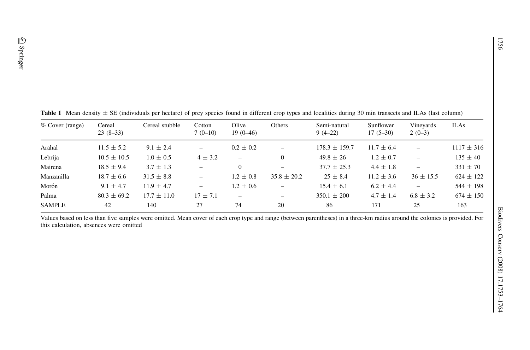| % Cover (range) | Cereal<br>$23(8-33)$ | Cereal stubble  | Cotton<br>$7(0-10)$ | Olive<br>$19(0-46)$ | Others                   | Semi-natural<br>$9(4-22)$ | Sunflower<br>$17(5-30)$ | Vineyards<br>$2(0-3)$    | <b>ILAs</b>    |
|-----------------|----------------------|-----------------|---------------------|---------------------|--------------------------|---------------------------|-------------------------|--------------------------|----------------|
| Arahal          | $11.5 \pm 5.2$       | $9.1 \pm 2.4$   | -                   | $0.2 \pm 0.2$       | $\overline{\phantom{0}}$ | $178.3 \pm 159.7$         | $11.7 \pm 6.4$          | $\overline{\phantom{0}}$ | $1117 \pm 316$ |
| Lebrija         | $10.5 \pm 10.5$      | $1.0 \pm 0.5$   | $4 \pm 3.2$         |                     | $\mathbf{0}$             | $49.8 \pm 26$             | $1.2 \pm 0.7$           | $\overline{\phantom{0}}$ | $135 \pm 40$   |
| Mairena         | $18.5 \pm 9.4$       | $3.7 \pm 1.3$   | -                   | $\mathbf{0}$        | $\qquad \qquad -$        | $37.7 \pm 25.3$           | $4.4 \pm 1.8$           | $\qquad \qquad -$        | $331 \pm 70$   |
| Manzanilla      | $18.7 \pm 6.6$       | $31.5 \pm 8.8$  | -                   | $1.2 \pm 0.8$       | $35.8 \pm 20.2$          | $25 \pm 8.4$              | $11.2 \pm 3.6$          | $36 \pm 15.5$            | $624 \pm 122$  |
| Morón           | $9.1 \pm 4.7$        | $11.9 \pm 4.7$  | -                   | $1.2 \pm 0.6$       | $\overline{\phantom{0}}$ | $15.4 \pm 6.1$            | $6.2 \pm 4.4$           | $\overline{\phantom{0}}$ | $544 \pm 198$  |
| Palma           | $80.3 \pm 69.2$      | $17.7 \pm 11.0$ | $17 \pm 7.1$        |                     | $\overline{\phantom{0}}$ | $350.1 \pm 200$           | $4.7 \pm 1.4$           | $6.8 \pm 3.2$            | $674 \pm 150$  |
| <b>SAMPLE</b>   | 42                   | 140             | 27                  | 74                  | 20                       | 86                        | 171                     | 25                       | 163            |

<span id="page-3-0"></span>Table 1 Mean density  $\pm$  SE (individuals per hectare) of prey species found in different crop types and localities during 30 min transects and ILAs (last column)

Values based on less than five samples were omitted. Mean cover of each crop type and range (between parentheses) in <sup>a</sup> three-km radius around the colonies is provided. For this calculation, absences were omitted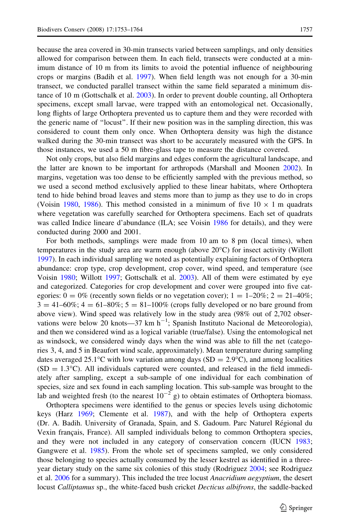because the area covered in 30-min transects varied between samplings, and only densities allowed for comparison between them. In each field, transects were conducted at a minimum distance of 10 m from its limits to avoid the potential influence of neighbouring crops or margins (Badih et al. [1997\)](#page-9-0). When field length was not enough for a 30-min transect, we conducted parallel transect within the same field separated a minimum distance of 10 m (Gottschalk et al. [2003](#page-10-0)). In order to prevent double counting, all Orthoptera specimens, except small larvae, were trapped with an entomological net. Occasionally, long flights of large Orthoptera prevented us to capture them and they were recorded with the generic name of ''locust''. If their new position was in the sampling direction, this was considered to count them only once. When Orthoptera density was high the distance walked during the 30-min transect was short to be accurately measured with the GPS. In those instances, we used a 50 m fibre-glass tape to measure the distance covered.

Not only crops, but also field margins and edges conform the agricultural landscape, and the latter are known to be important for arthropods (Marshall and Moonen [2002\)](#page-11-0). In margins, vegetation was too dense to be efficiently sampled with the previous method, so we used a second method exclusively applied to these linear habitats, where Orthoptera tend to hide behind broad leaves and stems more than to jump as they use to do in crops (Voisin [1980](#page-11-0), [1986\)](#page-11-0). This method consisted in a minimum of five  $10 \times 1$  m quadrats where vegetation was carefully searched for Orthoptera specimens. Each set of quadrats was called Indice lineare d'abundance (ILA; see Voisin [1986](#page-11-0) for details), and they were conducted during 2000 and 2001.

For both methods, samplings were made from 10 am to 8 pm (local times), when temperatures in the study area are warm enough (above  $20^{\circ}$ C) for insect activity (Willott [1997\)](#page-11-0). In each individual sampling we noted as potentially explaining factors of Orthoptera abundance: crop type, crop development, crop cover, wind speed, and temperature (see Voisin [1980;](#page-11-0) Willott [1997;](#page-11-0) Gottschalk et al. [2003](#page-10-0)). All of them were estimated by eye and categorized. Categories for crop development and cover were grouped into five categories:  $0 = 0\%$  (recently sown fields or no vegetation cover);  $1 = 1-20\%$ ;  $2 = 21-40\%$ ;  $3 = 41-60\%$ ;  $4 = 61-80\%$ ;  $5 = 81-100\%$  (crops fully developed or no bare ground from above view). Wind speed was relatively low in the study area (98% out of 2,702 observations were below 20 knots—37 km  $h^{-1}$ ; Spanish Instituto Nacional de Meteorologia), and then we considered wind as a logical variable (true/false). Using the entomological net as windsock, we considered windy days when the wind was able to fill the net (categories 3, 4, and 5 in Beaufort wind scale, approximately). Mean temperature during sampling dates averaged 25.1 °C with low variation among days (SD =  $2.9$ °C), and among localities  $(SD = 1.3^{\circ}C)$ . All individuals captured were counted, and released in the field immediately after sampling, except a sub-sample of one individual for each combination of species, size and sex found in each sampling location. This sub-sample was brought to the lab and weighted fresh (to the nearest  $10^{-2}$  g) to obtain estimates of Orthoptera biomass.

Orthoptera specimens were identified to the genus or species levels using dichotomic keys (Harz [1969](#page-10-0); Clemente et al. [1987](#page-10-0)), and with the help of Orthoptera experts (Dr. A. Badih. University of Granada, Spain, and S. Gadoum. Parc Naturel Régional du Vexin français, France). All sampled individuals belong to common Orthoptera species, and they were not included in any category of conservation concern (IUCN [1983;](#page-10-0) Gangwere et al. [1985\)](#page-10-0). From the whole set of specimens sampled, we only considered those belonging to species actually consumed by the lesser kestrel as identified in a threeyear dietary study on the same six colonies of this study (Rodriguez [2004](#page-11-0); see Rodriguez et al. [2006](#page-11-0) for a summary). This included the tree locust *Anacridium aegyptium*, the desert locust Calliptamus sp., the white-faced bush cricket Decticus albifrons, the saddle-backed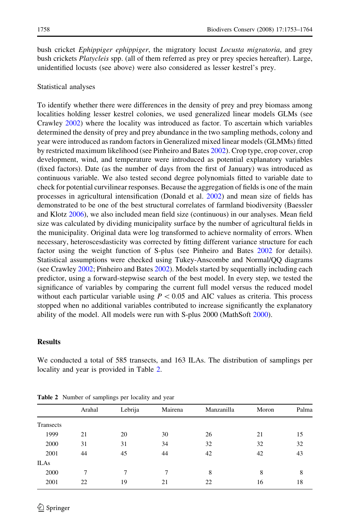bush cricket *Ephippiger ephippiger*, the migratory locust *Locusta migratoria*, and grey bush crickets *Platycleis* spp. (all of them referred as prey or prey species hereafter). Large, unidentified locusts (see above) were also considered as lesser kestrel's prey.

# Statistical analyses

To identify whether there were differences in the density of prey and prey biomass among localities holding lesser kestrel colonies, we used generalized linear models GLMs (see Crawley [2002](#page-10-0)) where the locality was introduced as factor. To ascertain which variables determined the density of prey and prey abundance in the two sampling methods, colony and year were introduced as random factors in Generalized mixed linear models (GLMMs) fitted by restricted maximum likelihood (see Pinheiro and Bates [2002\)](#page-11-0). Crop type, crop cover, crop development, wind, and temperature were introduced as potential explanatory variables (fixed factors). Date (as the number of days from the first of January) was introduced as continuous variable. We also tested second degree polynomials fitted to variable date to check for potential curvilinear responses. Because the aggregation of fields is one of the main processes in agricultural intensification (Donald et al. [2002](#page-10-0)) and mean size of fields has demonstrated to be one of the best structural correlates of farmland biodiversity (Baessler and Klotz [2006](#page-10-0)), we also included mean field size (continuous) in our analyses. Mean field size was calculated by dividing municipality surface by the number of agricultural fields in the municipality. Original data were log transformed to achieve normality of errors. When necessary, heteroscesdasticity was corrected by fitting different variance structure for each factor using the weight function of S-plus (see Pinheiro and Bates [2002](#page-11-0) for details). Statistical assumptions were checked using Tukey-Anscombe and Normal/QQ diagrams (see Crawley [2002;](#page-10-0) Pinheiro and Bates [2002](#page-11-0)). Models started by sequentially including each predictor, using a forward-stepwise search of the best model. In every step, we tested the significance of variables by comparing the current full model versus the reduced model without each particular variable using  $P \leq 0.05$  and AIC values as criteria. This process stopped when no additional variables contributed to increase significantly the explanatory ability of the model. All models were run with S-plus 2000 (MathSoft [2000\)](#page-11-0).

# **Results**

We conducted a total of 585 transects, and 163 ILAs. The distribution of samplings per locality and year is provided in Table 2.

| Arahal | Lebrija | Mairena | Manzanilla | Moron | Palma |
|--------|---------|---------|------------|-------|-------|
|        |         |         |            |       |       |
| 21     | 20      | 30      | 26         | 21    | 15    |
| 31     | 31      | 34      | 32         | 32    | 32    |
| 44     | 45      | 44      | 42         | 42    | 43    |
|        |         |         |            |       |       |
| 7      | 7       |         | 8          | 8     | 8     |
| 22     | 19      | 21      | 22         | 16    | 18    |
|        |         |         |            |       |       |

Table 2 Number of samplings per locality and year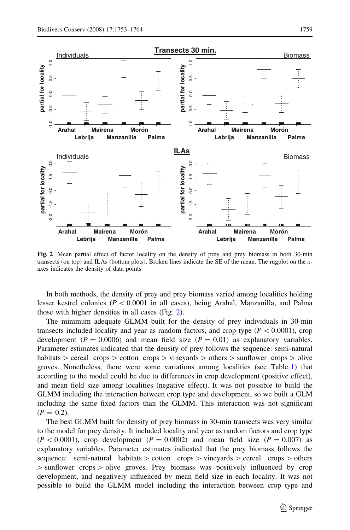

Fig. 2 Mean partial effect of factor locality on the density of prey and prey biomass in both 30-min transects (on top) and ILAs (bottom plots). Broken lines indicate the SE of the mean. The rugplot on the xaxes indicates the density of data points

In both methods, the density of prey and prey biomass varied among localities holding lesser kestrel colonies ( $P \le 0.0001$  in all cases), being Arahal, Manzanilla, and Palma those with higher densities in all cases (Fig. 2).

The minimum adequate GLMM built for the density of prey individuals in 30-min transects included locality and year as random factors, and crop type ( $P \lt 0.0001$ ), crop development ( $P = 0.0006$ ) and mean field size ( $P = 0.01$ ) as explanatory variables. Parameter estimates indicated that the density of prey follows the sequence: semi-natural habitats  $>$  cereal crops  $>$  cotton crops  $>$  vineyards  $>$  others  $>$  sunflower crops  $>$  olive groves. Nonetheless, there were some variations among localities (see Table [1\)](#page-3-0) that according to the model could be due to differences in crop development (positive effect), and mean field size among localities (negative effect). It was not possible to build the GLMM including the interaction between crop type and development, so we built a GLM including the same fixed factors than the GLMM. This interaction was not significant  $(P = 0.2)$ .

The best GLMM built for density of prey biomass in 30-min transects was very similar to the model for prey density. It included locality and year as random factors and crop type  $(P < 0.0001)$ , crop development  $(P = 0.0002)$  and mean field size  $(P = 0.007)$  as explanatory variables. Parameter estimates indicated that the prey biomass follows the sequence: semi-natural habitats  $>$  cotton crops  $>$  vineyards  $>$  cereal crops  $>$  others  $>$  sunflower crops  $>$  olive groves. Prey biomass was positively influenced by crop development, and negatively influenced by mean field size in each locality. It was not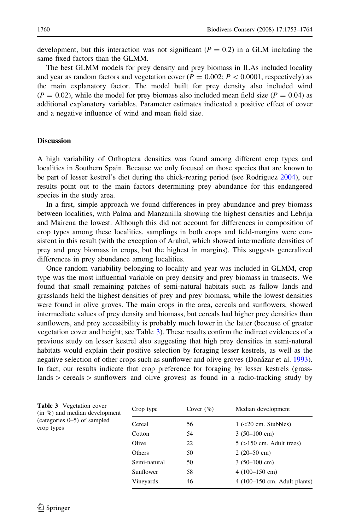<span id="page-7-0"></span>development, but this interaction was not significant ( $P = 0.2$ ) in a GLM including the same fixed factors than the GLMM.

The best GLMM models for prey density and prey biomass in ILAs included locality and year as random factors and vegetation cover  $(P = 0.002; P < 0.0001$ , respectively) as the main explanatory factor. The model built for prey density also included wind  $(P = 0.02)$ , while the model for prey biomass also included mean field size  $(P = 0.04)$  as additional explanatory variables. Parameter estimates indicated a positive effect of cover and a negative influence of wind and mean field size.

### **Discussion**

A high variability of Orthoptera densities was found among different crop types and localities in Southern Spain. Because we only focused on those species that are known to be part of lesser kestrel's diet during the chick-rearing period (see Rodriguez [2004](#page-11-0)), our results point out to the main factors determining prey abundance for this endangered species in the study area.

In a first, simple approach we found differences in prey abundance and prey biomass between localities, with Palma and Manzanilla showing the highest densities and Lebrija and Mairena the lowest. Although this did not account for differences in composition of crop types among these localities, samplings in both crops and field-margins were consistent in this result (with the exception of Arahal, which showed intermediate densities of prey and prey biomass in crops, but the highest in margins). This suggests generalized differences in prey abundance among localities.

Once random variability belonging to locality and year was included in GLMM, crop type was the most influential variable on prey density and prey biomass in transects. We found that small remaining patches of semi-natural habitats such as fallow lands and grasslands held the highest densities of prey and prey biomass, while the lowest densities were found in olive groves. The main crops in the area, cereals and sunflowers, showed intermediate values of prey density and biomass, but cereals had higher prey densities than sunflowers, and prey accessibility is probably much lower in the latter (because of greater vegetation cover and height; see Table 3). These results confirm the indirect evidences of a previous study on lesser kestrel also suggesting that high prey densities in semi-natural habitats would explain their positive selection by foraging lesser kestrels, as well as the negative selection of other crops such as sunflower and olive groves (Donázar et al. [1993](#page-10-0)). In fact, our results indicate that crop preference for foraging by lesser kestrels (grasslands  $>$  cereals  $>$  sunflowers and olive groves) as found in a radio-tracking study by

| <b>Table 3</b> Vegetation cover<br>$(in \%)$ and median development | Crop type    | Cover $(\% )$ | Median development            |  |  |  |  |
|---------------------------------------------------------------------|--------------|---------------|-------------------------------|--|--|--|--|
| (categories 0–5) of sampled<br>crop types                           | Cereal       | 56            | $1$ ( $<$ 20 cm. Stubbles)    |  |  |  |  |
|                                                                     | Cotton       | 54            | $3(50-100 \text{ cm})$        |  |  |  |  |
|                                                                     | Olive        | 22            | $5$ ( $>150$ cm. Adult trees) |  |  |  |  |
|                                                                     | Others       | 50            | $2(20-50 \text{ cm})$         |  |  |  |  |
|                                                                     | Semi-natural | 50            | $3(50-100 \text{ cm})$        |  |  |  |  |
|                                                                     | Sunflower    | 58            | $4(100-150 \text{ cm})$       |  |  |  |  |
|                                                                     | Vineyards    | 46            | $4(100-150$ cm. Adult plants) |  |  |  |  |
|                                                                     |              |               |                               |  |  |  |  |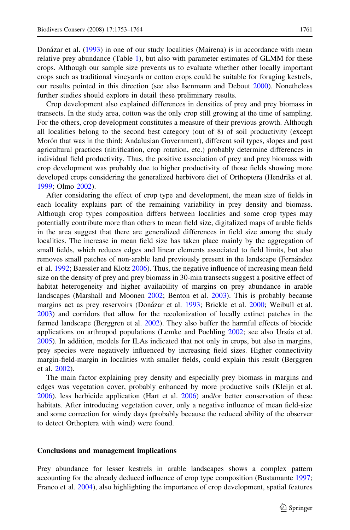Donázar et al. [\(1993](#page-10-0)) in one of our study localities (Mairena) is in accordance with mean relative prey abundance (Table  $1$ ), but also with parameter estimates of GLMM for these crops. Although our sample size prevents us to evaluate whether other locally important crops such as traditional vineyards or cotton crops could be suitable for foraging kestrels, our results pointed in this direction (see also Isenmann and Debout [2000\)](#page-10-0). Nonetheless further studies should explore in detail these preliminary results.

Crop development also explained differences in densities of prey and prey biomass in transects. In the study area, cotton was the only crop still growing at the time of sampling. For the others, crop development constitutes a measure of their previous growth. Although all localities belong to the second best category (out of 8) of soil productivity (except Morón that was in the third; Andalusian Government), different soil types, slopes and past agricultural practices (nitrification, crop rotation, etc.) probably determine differences in individual field productivity. Thus, the positive association of prey and prey biomass with crop development was probably due to higher productivity of those fields showing more developed crops considering the generalized herbivore diet of Orthoptera (Hendriks et al. [1999;](#page-10-0) Olmo [2002](#page-11-0)).

After considering the effect of crop type and development, the mean size of fields in each locality explains part of the remaining variability in prey density and biomass. Although crop types composition differs between localities and some crop types may potentially contribute more than others to mean field size, digitalized maps of arable fields in the area suggest that there are generalized differences in field size among the study localities. The increase in mean field size has taken place mainly by the aggregation of small fields, which reduces edges and linear elements associated to field limits, but also removes small patches of non-arable land previously present in the landscape (Fernancez et al. [1992](#page-10-0); Baessler and Klotz [2006\)](#page-10-0). Thus, the negative influence of increasing mean field size on the density of prey and prey biomass in 30-min transects suggest a positive effect of habitat heterogeneity and higher availability of margins on prey abundance in arable landscapes (Marshall and Moonen [2002](#page-11-0); Benton et al. [2003\)](#page-10-0). This is probably because margins act as prey reservoirs (Donázar et al. [1993](#page-10-0); Brickle et al. [2000](#page-10-0); Weibull et al. [2003\)](#page-11-0) and corridors that allow for the recolonization of locally extinct patches in the farmed landscape (Berggren et al. [2002\)](#page-10-0). They also buffer the harmful effects of biocide applications on arthropod populations (Lemke and Poehling  $2002$ ; see also Ursu $a$  et al. [2005\)](#page-11-0). In addition, models for ILAs indicated that not only in crops, but also in margins, prey species were negatively influenced by increasing field sizes. Higher connectivity margin-field-margin in localities with smaller fields, could explain this result (Berggren et al. [2002](#page-10-0)).

The main factor explaining prey density and especially prey biomass in margins and edges was vegetation cover, probably enhanced by more productive soils (Kleijn et al. [2006\)](#page-10-0), less herbicide application (Hart et al. [2006\)](#page-10-0) and/or better conservation of these habitats. After introducing vegetation cover, only a negative influence of mean field-size and some correction for windy days (probably because the reduced ability of the observer to detect Orthoptera with wind) were found.

## Conclusions and management implications

Prey abundance for lesser kestrels in arable landscapes shows a complex pattern accounting for the already deduced influence of crop type composition (Bustamante [1997;](#page-10-0) Franco et al. [2004\)](#page-10-0), also highlighting the importance of crop development, spatial features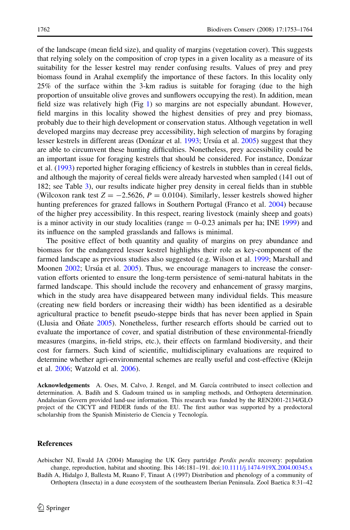<span id="page-9-0"></span>of the landscape (mean field size), and quality of margins (vegetation cover). This suggests that relying solely on the composition of crop types in a given locality as a measure of its suitability for the lesser kestrel may render confusing results. Values of prey and prey biomass found in Arahal exemplify the importance of these factors. In this locality only 25% of the surface within the 3-km radius is suitable for foraging (due to the high proportion of unsuitable olive groves and sunflowers occupying the rest). In addition, mean field size was relatively high (Fig [1](#page-2-0)) so margins are not especially abundant. However, field margins in this locality showed the highest densities of prey and prey biomass, probably due to their high development or conservation status. Although vegetation in well developed margins may decrease prey accessibility, high selection of margins by foraging lesser kestrels in different areas (Donázar et al. [1993](#page-10-0); Ursúa et al. [2005\)](#page-11-0) suggest that they are able to circumvent these hunting difficulties. Nonetheless, prey accessibility could be an important issue for foraging kestrels that should be considered. For instance, Donázar et al. ([1993\)](#page-10-0) reported higher foraging efficiency of kestrels in stubbles than in cereal fields, and although the majority of cereal fields were already harvested when sampled (141 out of 182; see Table [3\)](#page-7-0), our results indicate higher prey density in cereal fields than in stubble (Wilcoxon rank test  $Z = -2.5626$ ,  $P = 0.0104$ ). Similarly, lesser kestrels showed higher hunting preferences for grazed fallows in Southern Portugal (Franco et al. [2004](#page-10-0)) because of the higher prey accessibility. In this respect, rearing livestock (mainly sheep and goats) is a minor activity in our study localities (range  $= 0-0.23$  animals per ha; INE [1999\)](#page-10-0) and its influence on the sampled grasslands and fallows is minimal.

The positive effect of both quantity and quality of margins on prey abundance and biomass for the endangered lesser kestrel highlights their role as key-component of the farmed landscape as previous studies also suggested (e.g. Wilson et al. [1999;](#page-11-0) Marshall and Moonen [2002;](#page-11-0) Ursúa et al. [2005](#page-11-0)). Thus, we encourage managers to increase the conservation efforts oriented to ensure the long-term persistence of semi-natural habitats in the farmed landscape. This should include the recovery and enhancement of grassy margins, which in the study area have disappeared between many individual fields. This measure (creating new field borders or increasing their width) has been identified as a desirable agricultural practice to benefit pseudo-steppe birds that has never been applied in Spain (Llusia and Oñate [2005\)](#page-11-0). Nonetheless, further research efforts should be carried out to evaluate the importance of cover, and spatial distribution of these environmental-friendly measures (margins, in-field strips, etc.), their effects on farmland biodiversity, and their cost for farmers. Such kind of scientific, multidisciplinary evaluations are required to determine whether agri-environmental schemes are really useful and cost-effective (Kleijn et al. [2006](#page-10-0); Watzold et al. [2006\)](#page-11-0).

Acknowledgements A. Oses, M. Calvo, J. Rengel, and M. García contributed to insect collection and determination. A. Badih and S. Gadoum trained us in sampling methods, and Orthoptera determination. Andalusian Govern provided land-use information. This research was funded by the REN2001-2134/GLO project of the CICYT and FEDER funds of the EU. The first author was supported by a predoctoral scholarship from the Spanish Ministerio de Ciencia y Tecnología.

# **References**

Aebischer NJ, Ewald JA (2004) Managing the UK Grey partridge *Perdix perdix* recovery: population change, reproduction, habitat and shooting. Ibis 146:181–191. doi[:10.1111/j.1474-919X.2004.00345.x](http://dx.doi.org/10.1111/j.1474-919X.2004.00345.x)

Badih A, Hidalgo J, Ballesta M, Ruano F, Tinaut A (1997) Distribution and phenology of a community of Orthoptera (Insecta) in a dune ecosystem of the southeastern Iberian Peninsula. Zool Baetica 8:31–42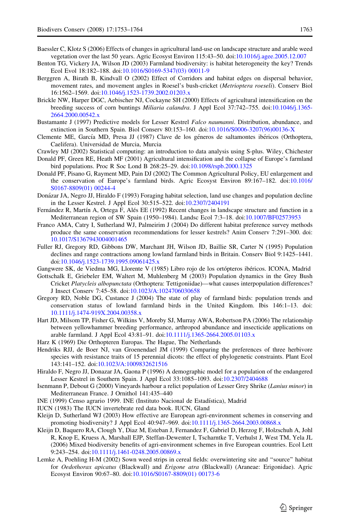- <span id="page-10-0"></span>Baessler C, Klotz S (2006) Effects of changes in agricultural land-use on landscape structure and arable weed vegetation over the last 50 years. Agric Ecosyst Environ 115:43–50. doi[:10.1016/j.agee.2005.12.007](http://dx.doi.org/10.1016/j.agee.2005.12.007)
- Benton TG, Vickery JA, Wilson JD (2003) Farmland biodiversity: is habitat heterogeneity the key? Trends Ecol Evol 18:182–188. doi:[10.1016/S0169-5347\(03\) 00011-9](http://dx.doi.org/10.1016/S0169-5347(03) 00011-9)
- Berggren A, Birath B, Kindvall O (2002) Effect of Corridors and habitat edges on dispersal behavior, movement rates, and movement angles in Roesel's bush-cricket (Metrioptera roeseli). Conserv Biol 16:1562–1569. doi:[10.1046/j.1523-1739.2002.01203.x](http://dx.doi.org/10.1046/j.1523-1739.2002.01203.x)
- Brickle NW, Harper DGC, Aebischer NJ, Cockayne SH (2000) Effects of agricultural intensification on the breeding success of corn buntings Miliaria calandra. J Appl Ecol 37:742–755. doi:[10.1046/j.1365-](http://dx.doi.org/10.1046/j.1365-2664.2000.00542.x) [2664.2000.00542.x](http://dx.doi.org/10.1046/j.1365-2664.2000.00542.x)
- Bustamante J (1997) Predictive models for Lesser Kestrel Falco naumanni. Distribution, abundance, and extinction in Southern Spain. Biol Conserv 80:153–160. doi[:10.1016/S0006-3207\(96\)00136-X](http://dx.doi.org/10.1016/S0006-3207(96)00136-X)
- Clemente ME, García MD, Presa JJ (1987) Clave de los géneros de saltamontes ibéricos (Orthoptera, Caelifera). Universidad de Murcia, Murcia
- Crawley MJ (2002) Statistical computing: an introduction to data analysis using S-plus. Wiley, Chichester Donald PF, Green RE, Heath MF (2001) Agricultural intensification and the collapse of Europe's farmland
- bird populations. Proc R Soc Lond B 268:25–29. doi[:10.1098/rspb.2000.1325](http://dx.doi.org/10.1098/rspb.2000.1325)
- Donald PF, Pisano G, Rayment MD, Pain DJ (2002) The Common Agricultural Policy, EU enlargement and the conservation of Europe's farmland birds. Agric Ecosyst Environ 89:167–182. doi:[10.1016/](http://dx.doi.org/10.1016/S0167-8809(01) 00244-4) [S0167-8809\(01\) 00244-4](http://dx.doi.org/10.1016/S0167-8809(01) 00244-4)
- Donázar JA, Negro JJ, Hiraldo F (1993) Foraging habitat selection, land use changes and population decline in the Lesser Kestrel. J Appl Ecol 30:515–522. doi:[10.2307/2404191](http://dx.doi.org/10.2307/2404191)
- Fernández R, Martín A, Ortega F, Alés EE (1992) Recent changes in landscape structure and function in a Mediterranean region of SW Spain (1950–1984). Landsc Ecol 7:3–18. doi[:10.1007/BF02573953](http://dx.doi.org/10.1007/BF02573953)
- Franco AMA, Catry I, Sutherland WJ, Palmeirim J (2004) Do different habitat preference survey methods produce the same conservation recommendations for lesser kestrels? Anim Conserv 7:291–300. doi: [10.1017/S1367943004001465](http://dx.doi.org/10.1017/S1367943004001465)
- Fuller RJ, Gregory RD, Gibbons DW, Marchant JH, Wilson JD, Baillie SR, Carter N (1995) Population declines and range contractions among lowland farmland birds in Britain. Conserv Biol 9:1425–1441. doi[:10.1046/j.1523-1739.1995.09061425.x](http://dx.doi.org/10.1046/j.1523-1739.1995.09061425.x)
- Gangwere SK, de Viedma MG, Llorente V (1985) Libro rojo de los ortópteros ibéricos. ICONA, Madrid
- Gottschalk E, Griebeler EM, Waltert M, Muhlenberg M (2003) Population dynamics in the Grey Bush Cricket Platycleis albopunctata (Orthoptera: Tettigoniidae)—what causes interpopulation differences? J Insect Conserv 7:45–58. doi:[10.1023/A:1024706030658](http://dx.doi.org/10.1023/A:1024706030658)
- Gregory RD, Noble DG, Custance J (2004) The state of play of farmland birds: population trends and conservation status of lowland farmland birds in the United Kingdom. Ibis 146:1–13. doi: [10.1111/j.1474-919X.2004.00358.x](http://dx.doi.org/10.1111/j.1474-919X.2004.00358.x)
- Hart JD, Milsom TP, Fisher G, Wilkins V, Moreby SJ, Murray AWA, Robertson PA (2006) The relationship between yellowhammer breeding performance, arthropod abundance and insecticide applications on arable farmland. J Appl Ecol 43:81–91. doi[:10.1111/j.1365-2664.2005.01103.x](http://dx.doi.org/10.1111/j.1365-2664.2005.01103.x)
- Harz K (1969) Die Orthopteren Europas. The Hague, The Netherlands
- Hendriks RJJ, de Boer NJ, van Groenendael JM (1999) Comparing the preferences of three herbivore species with resistance traits of 15 perennial dicots: the effect of phylogenetic constraints. Plant Ecol 143:141–152. doi:[10.1023/A:1009832621516](http://dx.doi.org/10.1023/A:1009832621516)
- Hiraldo F, Negro JJ, Donazar JA, Gaona P (1996) A demographic model for a population of the endangered Lesser Kestrel in Southern Spain. J Appl Ecol 33:1085–1093. doi:[10.2307/2404688](http://dx.doi.org/10.2307/2404688)
- Isenmann P, Debout G (2000) Vineyards harbour a relict population of Lesser Grey Shrike (Lanius minor) in Mediterranean France. J Ornithol 141:435–440
- INE (1999) Censo agrario 1999. INE (Instituto Nacional de Estadística), Madrid
- IUCN (1983) The IUCN invertebrate red data book. IUCN, Gland
- Kleijn D, Sutherland WJ (2003) How effective are European agri-environment schemes in conserving and promoting biodiversity? J Appl Ecol 40:947–969. doi:[10.1111/j.1365-2664.2003.00868.x](http://dx.doi.org/10.1111/j.1365-2664.2003.00868.x)
- Kleijn D, Baquero RA, Clough Y, Diaz M, Esteban J, Fernandez F, Gabriel D, Herzog F, Holzschuh A, Johl R, Knop E, Kruess A, Marshall EJP, Steffan-Dewenter I, Tscharntke T, Verhulst J, West TM, Yela JL (2006) Mixed biodiversity benefits of agri-environment schemes in five European countries. Ecol Lett 9:243–254. doi:[10.1111/j.1461-0248.2005.00869.x](http://dx.doi.org/10.1111/j.1461-0248.2005.00869.x)
- Lemke A, Poehling H-M (2002) Sown weed strips in cereal fields: overwintering site and ''source'' habitat for Oedothorax apicatus (Blackwall) and Erigone atra (Blackwall) (Araneae: Erigonidae). Agric Ecosyst Environ 90:67–80. doi:[10.1016/S0167-8809\(01\) 00173-6](http://dx.doi.org/10.1016/S0167-8809(01) 00173-6)